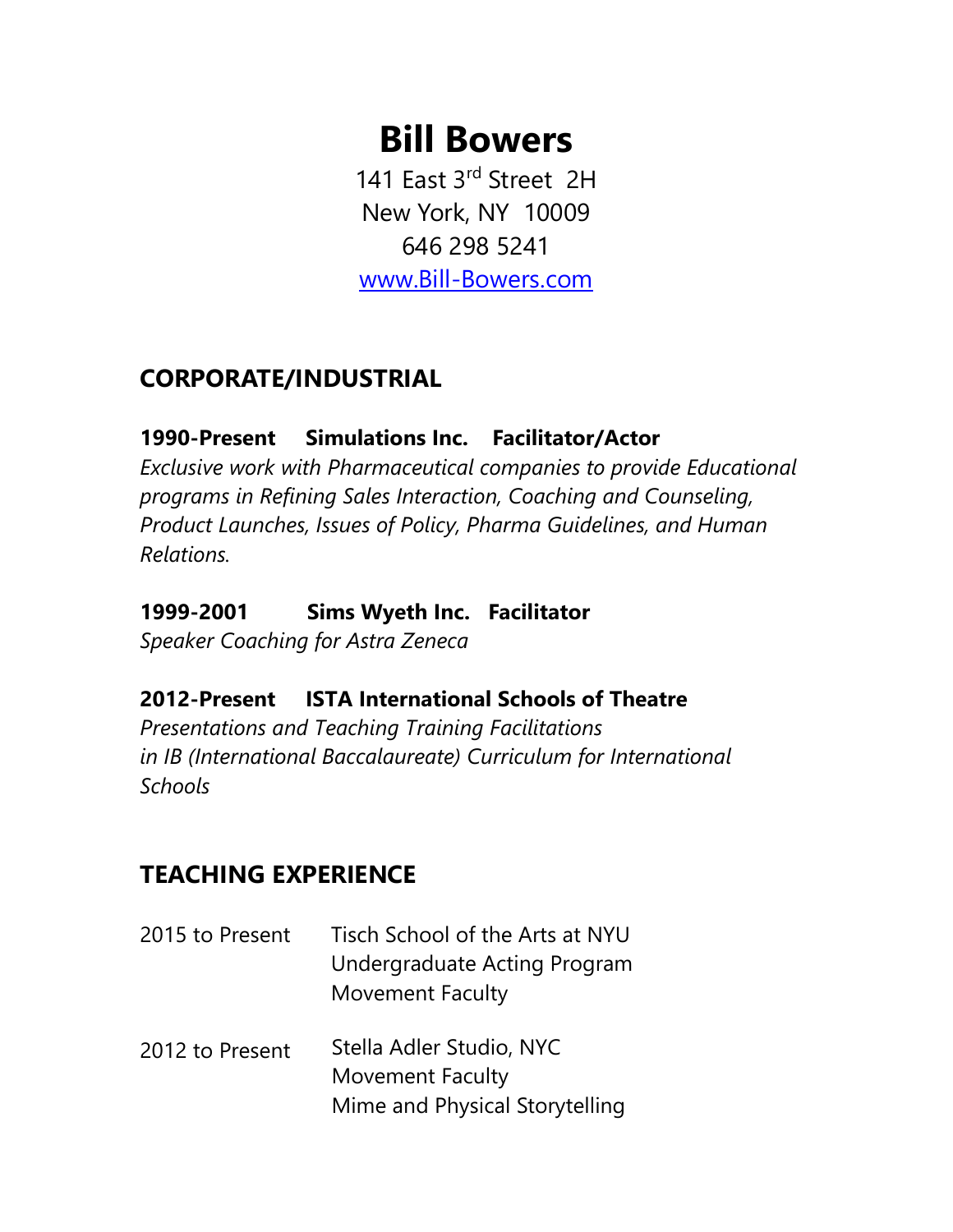# **Bill Bowers**

141 East 3rd Street 2H New York, NY 10009 646 298 5241

www.Bill-[Bowers.com](http://www.bill-bowers.com/)

## **CORPORATE/INDUSTRIAL**

#### **1990-Present Simulations Inc. Facilitator/Actor**

*Exclusive work with Pharmaceutical companies to provide Educational programs in Refining Sales Interaction, Coaching and Counseling, Product Launches, Issues of Policy, Pharma Guidelines, and Human Relations.* 

## **1999-2001 Sims Wyeth Inc. Facilitator**

*Speaker Coaching for Astra Zeneca*

## **2012-Present ISTA International Schools of Theatre**

*Presentations and Teaching Training Facilitations in IB (International Baccalaureate) Curriculum for International Schools*

## **TEACHING EXPERIENCE**

| 2015 to Present | Tisch School of the Arts at NYU                     |
|-----------------|-----------------------------------------------------|
|                 | Undergraduate Acting Program                        |
|                 | <b>Movement Faculty</b>                             |
| 2012 to Present | Stella Adler Studio, NYC<br><b>Movement Faculty</b> |
|                 | Mime and Physical Storytelling                      |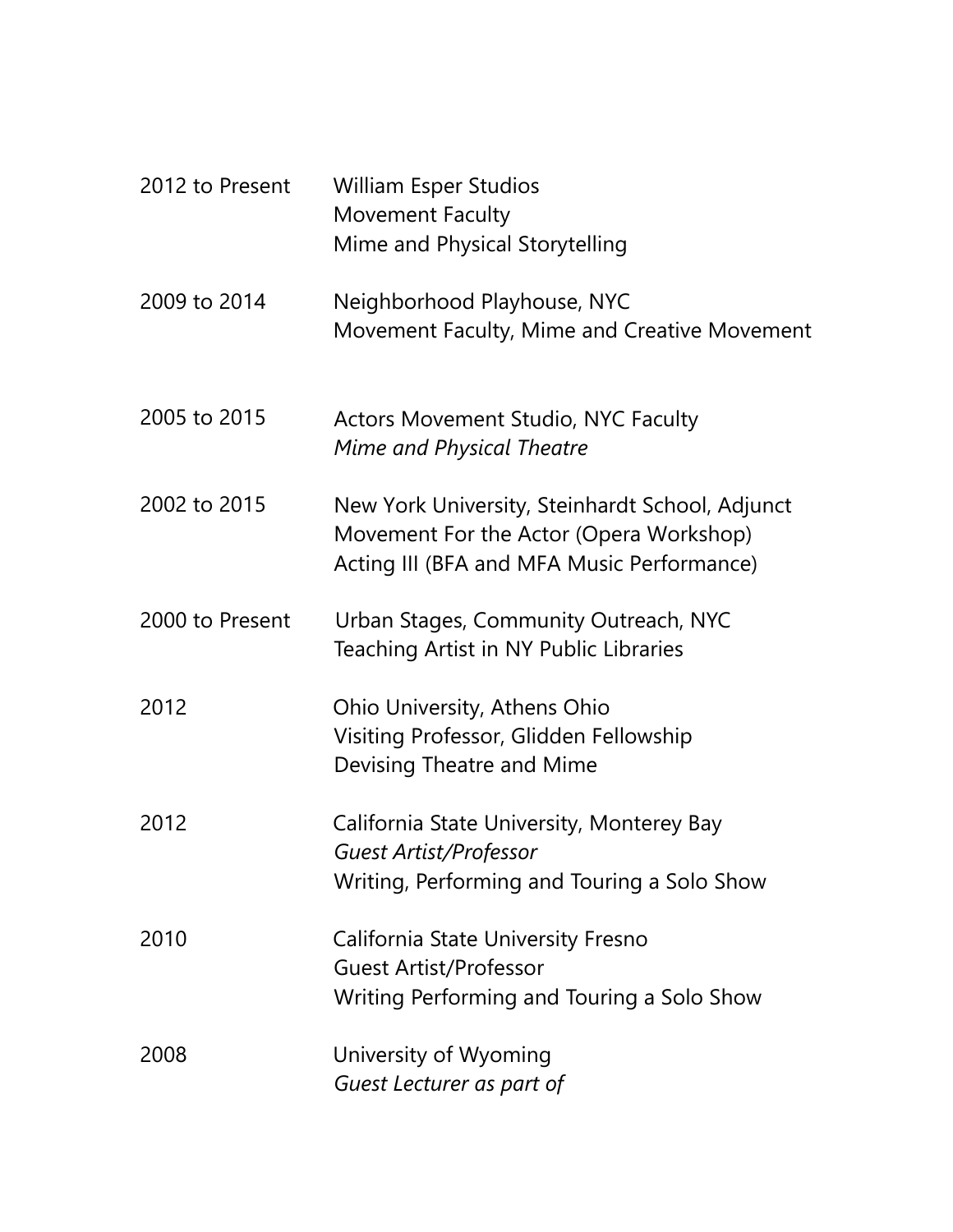| 2012 to Present | <b>William Esper Studios</b><br>Movement Faculty<br>Mime and Physical Storytelling                                                       |
|-----------------|------------------------------------------------------------------------------------------------------------------------------------------|
| 2009 to 2014    | Neighborhood Playhouse, NYC<br>Movement Faculty, Mime and Creative Movement                                                              |
| 2005 to 2015    | <b>Actors Movement Studio, NYC Faculty</b><br><b>Mime and Physical Theatre</b>                                                           |
| 2002 to 2015    | New York University, Steinhardt School, Adjunct<br>Movement For the Actor (Opera Workshop)<br>Acting III (BFA and MFA Music Performance) |
| 2000 to Present | Urban Stages, Community Outreach, NYC<br>Teaching Artist in NY Public Libraries                                                          |
| 2012            | Ohio University, Athens Ohio<br>Visiting Professor, Glidden Fellowship<br>Devising Theatre and Mime                                      |
| 2012            | California State University, Monterey Bay<br><b>Guest Artist/Professor</b><br>Writing, Performing and Touring a Solo Show                |
| 2010            | California State University Fresno<br><b>Guest Artist/Professor</b><br>Writing Performing and Touring a Solo Show                        |
| 2008            | University of Wyoming<br>Guest Lecturer as part of                                                                                       |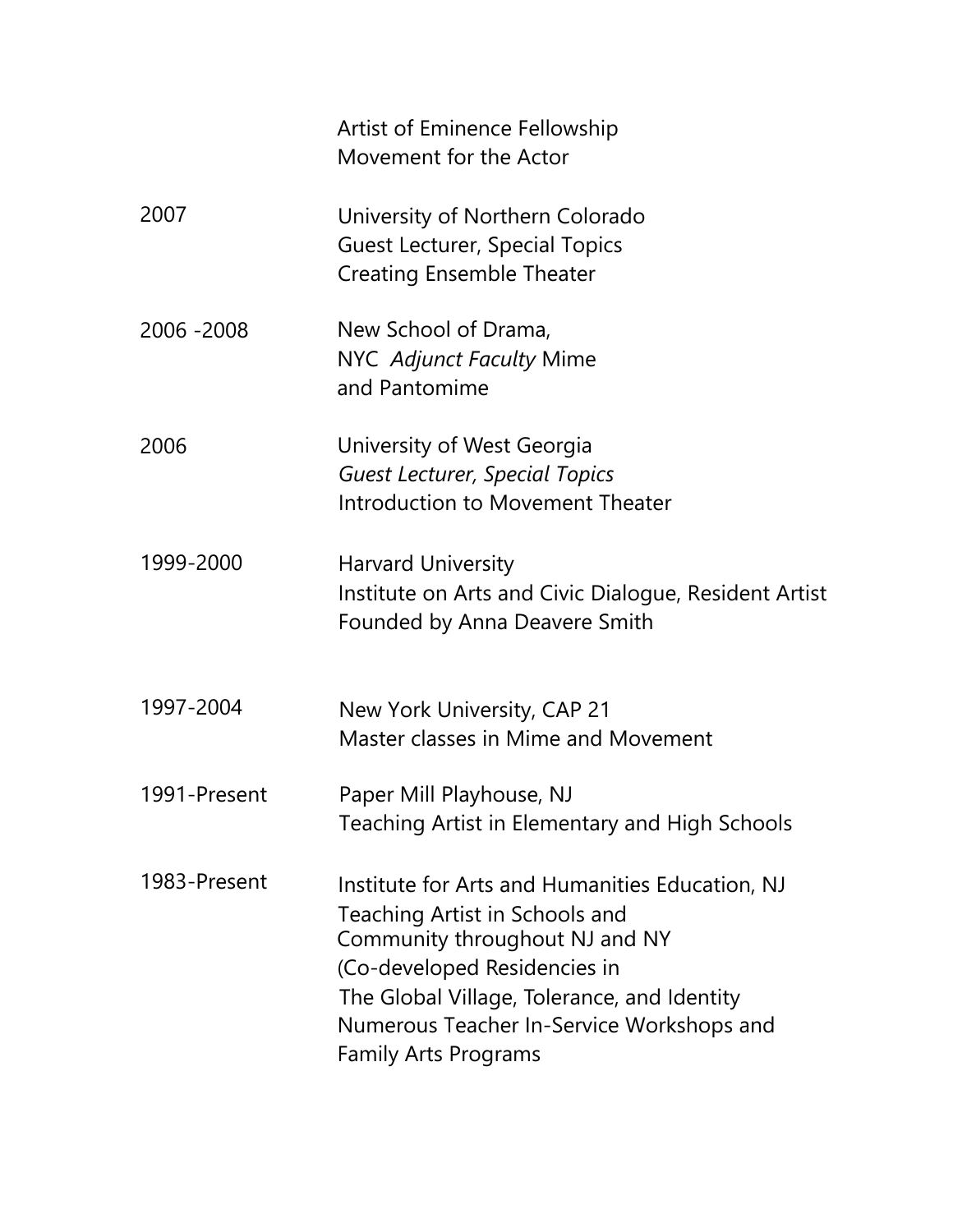|              | Artist of Eminence Fellowship<br>Movement for the Actor                                                                                                                                                                                                                        |
|--------------|--------------------------------------------------------------------------------------------------------------------------------------------------------------------------------------------------------------------------------------------------------------------------------|
| 2007         | University of Northern Colorado<br><b>Guest Lecturer, Special Topics</b><br><b>Creating Ensemble Theater</b>                                                                                                                                                                   |
| 2006 - 2008  | New School of Drama,<br>NYC Adjunct Faculty Mime<br>and Pantomime                                                                                                                                                                                                              |
| 2006         | University of West Georgia<br><b>Guest Lecturer, Special Topics</b><br>Introduction to Movement Theater                                                                                                                                                                        |
| 1999-2000    | <b>Harvard University</b><br>Institute on Arts and Civic Dialogue, Resident Artist<br>Founded by Anna Deavere Smith                                                                                                                                                            |
| 1997-2004    | New York University, CAP 21<br>Master classes in Mime and Movement                                                                                                                                                                                                             |
| 1991-Present | Paper Mill Playhouse, NJ<br>Teaching Artist in Elementary and High Schools                                                                                                                                                                                                     |
| 1983-Present | Institute for Arts and Humanities Education, NJ<br>Teaching Artist in Schools and<br>Community throughout NJ and NY<br>(Co-developed Residencies in<br>The Global Village, Tolerance, and Identity<br>Numerous Teacher In-Service Workshops and<br><b>Family Arts Programs</b> |